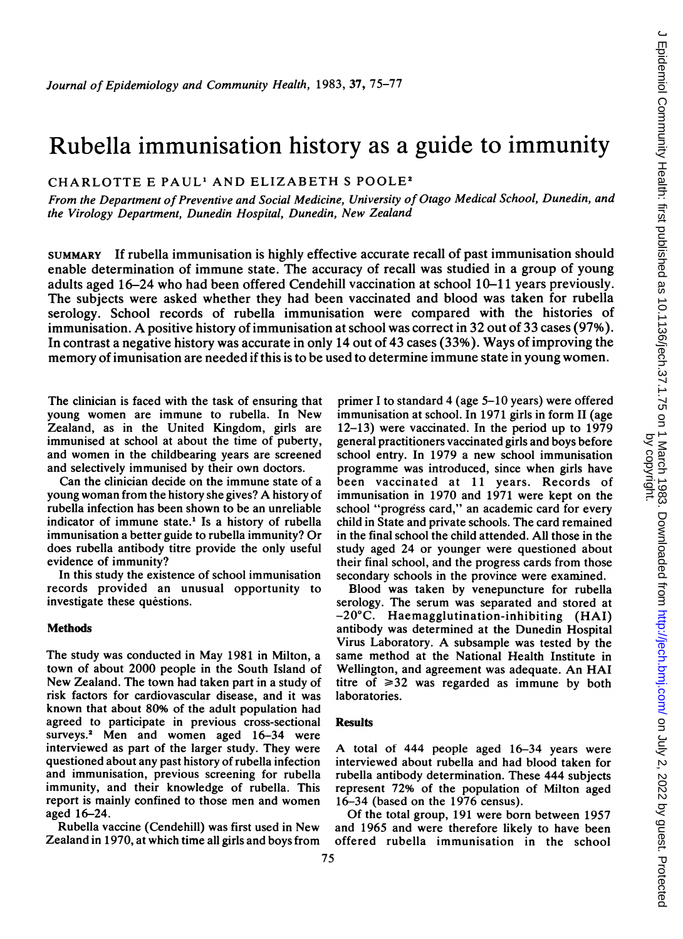# Rubella immunisation history as a guide to immunity

CHARLOTTE E PAUL<sup>1</sup> AND ELIZABETH S POOLE<sup>2</sup>

From the Department of Preventive and Social Medicine, University of Otago Medical School, Dunedin, and the Virology Department, Dunedin Hospital, Dunedin, New Zealand

SUMMARY If rubella immunisation is highly effective accurate recall of past immunisation should enable determination of immune state. The accuracy of recall was studied in a group of young adults aged 16-24 who had been offered Cendehill vaccination at school 10-11 years previously. The subjects were asked whether they had been vaccinated and blood was taken for rubella serology. School records of rubella immunisation were compared with the histories of immunisation. A positive history of immunisation at school was correct in <sup>32</sup> out of <sup>33</sup> cases (97%). In contrast a negative history was accurate in only 14 out of 43 cases (33%). Ways of improving the memory of imunisation are needed if this is to be used to determine immune state in young women.

The clinician is faced with the task of ensuring that young women are immune to rubella. In New Zealand, as in the United Kingdom, girls are immunised at school at about the time of puberty, and women in the childbearing years are screened and selectively immunised by their own doctors.

Can the clinician decide on the immune state of a young woman from the history she gives? A history of rubella infection has been shown to be an unreliable indicator of immune state.' Is a history of rubella immunisation a better guide to rubella immunity? Or does rubella antibody titre provide the only useful evidence of immunity?

In this study the existence of school immunisation records provided an unusual opportunity to investigate these questions.

## **Methods**

The study was conducted in May 1981 in Milton, <sup>a</sup> town of about 2000 people in the South Island of New Zealand. The town had taken part in <sup>a</sup> study of risk factors for cardiovascular disease, and it was known that about 80% of the adult population had agreed to participate in previous cross-sectional surveys.<sup>2</sup> Men and women aged 16-34 were interviewed as part of the larger study. They were questioned about any past history of rubella infection and immunisation, previous screening for rubella immunity, and their knowledge of rubella. This report is mainly confined to those men and women aged 16-24.

Rubella vaccine (Cendehill) was first used in New Zealand in 1970, at which time all girls and boys from primer <sup>I</sup> to standard 4 (age 5-10 years) were offered immunisation at school. In 1971 girls in form II (age 12-13) were vaccinated. In the period up to 1979 general practitioners vaccinated girls and boys before school entry. In 1979 a new school immunisation programme was introduced, since when girls have been vaccinated at 11 years. Records of immunisation in 1970 and 1971 were kept on the school "progress card," an academic card for every child in State and private schools. The card remained in the final school the child attended. All those in the study aged 24 or younger were questioned about their final school, and the progress cards from those secondary schools in the province were examined.

Blood was taken by venepuncture for rubella serology. The serum was separated and stored at -20°C. Haemagglutination-inhibiting (HAI) antibody was determined at the Dunedin Hospital Virus Laboratory. A subsample was tested by the same method at the National Health Institute in Wellington, and agreement was adequate. An HAI titre of  $\geq 32$  was regarded as immune by both laboratories.

## **Results**

A total of <sup>444</sup> people aged 16-34 years were interviewed about rubella and had blood taken for rubella antibody determination. These 444 subjects represent 72% of the population of Milton aged 16-34 (based on the 1976 census).

Of the total group, 191 were born between 1957 and 1965 and were therefore likely to have been offered rubella immunisation in the school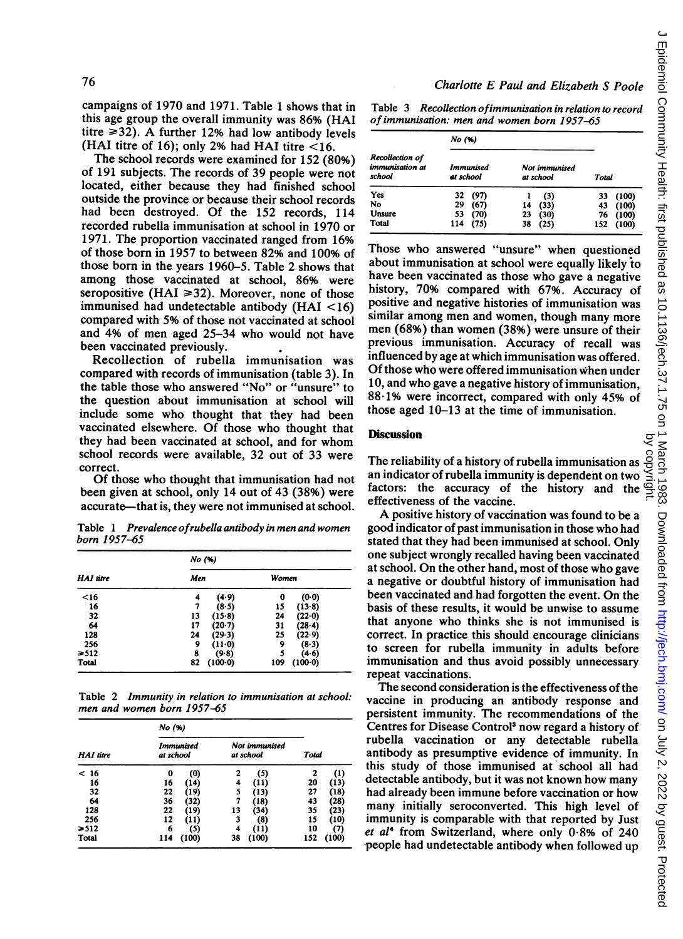campaigns of 1970 and 1971. Table <sup>1</sup> shows that in this age group the overall immunity was 86% (HAI titre  $\geq$ 32). A further 12% had low antibody levels (HAI titre of 16); only 2% had HAI titre  $<$  16.

The school records were examined for 152 (80%) of 191 subjects. The records of 39 people were not located, either because they had finished school outside the province or because their school records had been destroyed. Of the 152 records, 114 recorded rubella immunisation at school in 1970 or 1971. The proportion vaccinated ranged from 16% of those born in 1957 to between 82% and 100% of those born in the years 1960-5. Table 2 shows that among those vaccinated at school, 86% were seropositive (HAI  $\geq$ 32). Moreover, none of those immunised had undetectable antibody (HAI <16) compared with 5% of those not vaccinated at school and 4% of men aged 25-34 who would not have been vaccinated previously.

Recollection of rubella immunisation was compared with records of immunisation (table 3). In the table those who answered "No" or "unsure" to the question about immunisation at school will include some who thought that they had been vaccinated elsewhere. Of those who thought that they had been vaccinated at school, and for whom school records were available, 32 out of 33 were correct.

Of those who thought that immunisation had not been given at school, only 14 out of 43 (38%) were accurate—that is, they were not immunised at school.

Table <sup>1</sup> Prevalence ofrubella antibody in men and women born 1957-65

| HAI titre<br>$16$ | No (%) |           |     |          |  |  |
|-------------------|--------|-----------|-----|----------|--|--|
|                   | Men    | Women     |     |          |  |  |
|                   | 4      | (4.9)     | 0   | (0.0)    |  |  |
| 16                | 7      | (8.5)     | 15  | $(13-8)$ |  |  |
| 32                | 13     | (15.8)    | 24  | (22.0)   |  |  |
| 64                | 17     | (20.7)    | 31  | (28.4)   |  |  |
| 128               | 24     | (29.3)    | 25  | (22-9)   |  |  |
| 256               | 9      | $(11-0)$  | 9   | $(8-3)$  |  |  |
| $\geq 512$        | 8      | (9.8)     | 5   | (4.6)    |  |  |
| Total             | 82     | $(100-0)$ | 109 | (100.0)  |  |  |

Table 2 Immunity in relation to immunisation at school: men and women born 1957-65

| <b>HAI</b> titre | No (%)                        |       |                            |       |              |       |
|------------------|-------------------------------|-------|----------------------------|-------|--------------|-------|
|                  | <b>Immunised</b><br>at school |       | Not immunised<br>at school |       | <b>Total</b> |       |
| < 16             | 0                             | (0)   | 2                          | (5)   | 2            | (1)   |
| 16               | 16                            | (14)  | 4                          | (11)  | 20           | (13)  |
| 32               | 22                            | (19)  | 5                          | (13)  | 27           | (18)  |
| 64               | 36                            | (32)  | 7                          | (18)  | 43           | (28)  |
| 128              | 22                            | (19)  | 13                         | (34)  | 35           | (23)  |
| 256              | 12                            | (11)  | 3                          | (8)   | 15           | (10)  |
| $\geq 512$       | 6                             | (5)   | 4                          | (11)  | 10           | (7)   |
| Total            | 114                           | (100) | 38                         | (100) | 152          | (100) |

Charlotte E Paul and Elizabeth S Poole

Table 3 Recollection ofimmunisation in relation to record of immunisation: men and women born 1957-65

|                                              | No (%)                 |      |                            |      |     |       |  |
|----------------------------------------------|------------------------|------|----------------------------|------|-----|-------|--|
| Recollection of<br>immunisation at<br>school | Immunised<br>et school |      | Not immunised<br>at school |      |     | Total |  |
| Yes                                          | 32                     | (97) |                            | (3)  | 33  | (100) |  |
| No                                           | 29                     | (67) | 14                         | (33) | 43  | (100) |  |
| Unsure                                       | 53                     | (70) | 23                         | (30) | 76  | (100) |  |
| <b>Total</b>                                 | 114                    | (75) | 38                         | (25) | 152 | (100) |  |

Those who answered "unsure" when questioned about immunisation at school were equally likely to have been vaccinated as those who gave a negative history, 70% compared with 67%. Accuracy of positive and negative histories of immunisation was similar among men and women, though many more men (68%) than women (38%) were unsure of their previous immunisation. Accuracy of recall was influenced by age at which immunisation was offered. Of those who were offered immunisation when under 10, and who gave <sup>a</sup> negative history of immunisation, 88-1% were incorrect, compared with only 45% of those aged 10-13 at the time of immunisation.

### Discussion

The reliability of a history of rubella immunisation as an indicator of rubella immunity is dependent on two factors: the accuracy of the history and the

effectiveness of the vaccine. A positive history of vaccination was found to be <sup>a</sup> good indicator of past immunisation in those who had stated that they had been immunised at school. Only one subject wrongly recalled having been vaccinated at school. On the other hand, most of those who gave a negative or doubtful history of immunisation had been vaccinated and had forgotten the event. On the basis of these results, it would be unwise to assume that anyone who thinks she is not immunised is correct. In practice this should encourage clinicians to screen for rubella immunity in adults before immunisation and thus avoid possibly unnecessary repeat vaccinations.

The second consideration is the effectiveness of the vaccine in producing an antibody response and persistent immunity. The recommendations of the Centres for Disease Control<sup>3</sup> now regard a history of rubella vaccination or any detectable rubella antibody as presumptive evidence of immunity. In this study of those immunised at school all had detectable antibody, but it was not known how many had already been immune before vaccination or how many initially seroconverted. This high level of immunity is comparable with that reported by Just et  $al<sup>4</sup>$  from Switzerland, where only  $0.8%$  of 240 people had undetectable antibody when followed up